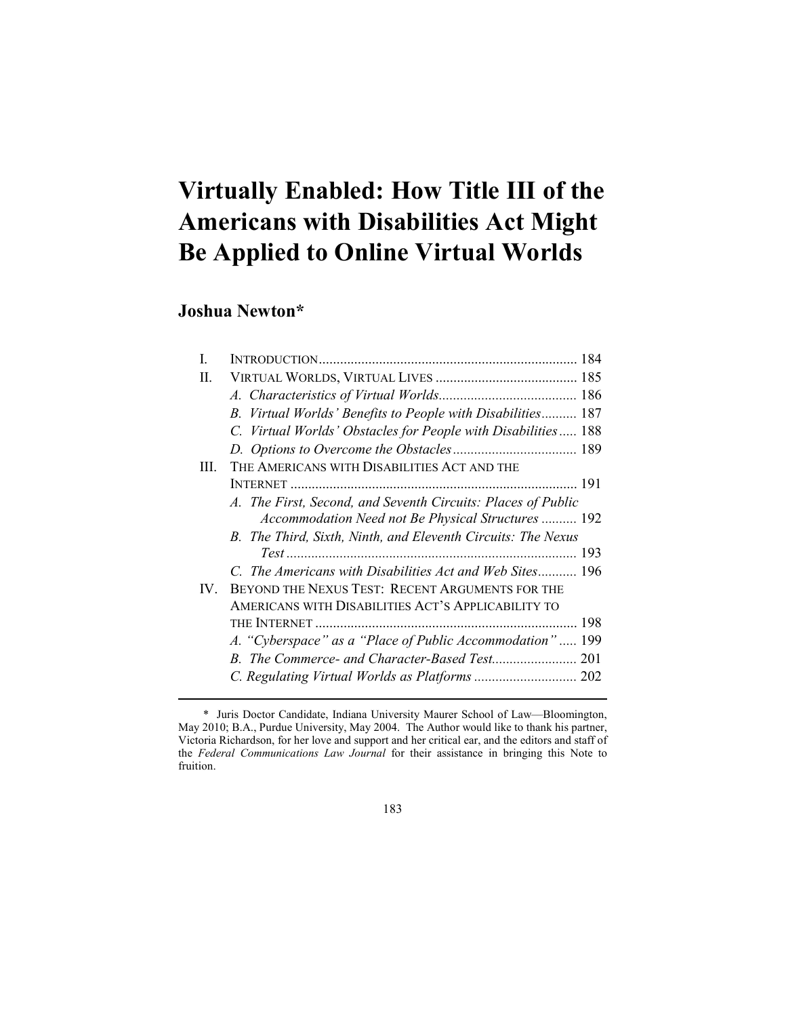# **Virtually Enabled: How Title III of the Americans with Disabilities Act Might Be Applied to Online Virtual Worlds**

## **Joshua Newton\***

<u>.</u>

| L        |                                                               |  |
|----------|---------------------------------------------------------------|--|
| П.       |                                                               |  |
|          |                                                               |  |
|          | B. Virtual Worlds' Benefits to People with Disabilities 187   |  |
|          | C. Virtual Worlds' Obstacles for People with Disabilities 188 |  |
|          |                                                               |  |
| Ш        | THE AMERICANS WITH DISABILITIES ACT AND THE                   |  |
|          |                                                               |  |
|          | A. The First, Second, and Seventh Circuits: Places of Public  |  |
|          | Accommodation Need not Be Physical Structures  192            |  |
|          | B. The Third, Sixth, Ninth, and Eleventh Circuits: The Nexus  |  |
|          |                                                               |  |
|          | C. The Americans with Disabilities Act and Web Sites 196      |  |
| $IV_{-}$ | BEYOND THE NEXUS TEST: RECENT ARGUMENTS FOR THE               |  |
|          | AMERICANS WITH DISABILITIES ACT'S APPLICABILITY TO            |  |
|          |                                                               |  |
|          | A. "Cyberspace" as a "Place of Public Accommodation"  199     |  |
|          |                                                               |  |
|          |                                                               |  |
|          |                                                               |  |

183

 <sup>\*</sup> Juris Doctor Candidate, Indiana University Maurer School of Law—Bloomington, May 2010; B.A., Purdue University, May 2004. The Author would like to thank his partner, Victoria Richardson, for her love and support and her critical ear, and the editors and staff of the *Federal Communications Law Journal* for their assistance in bringing this Note to fruition.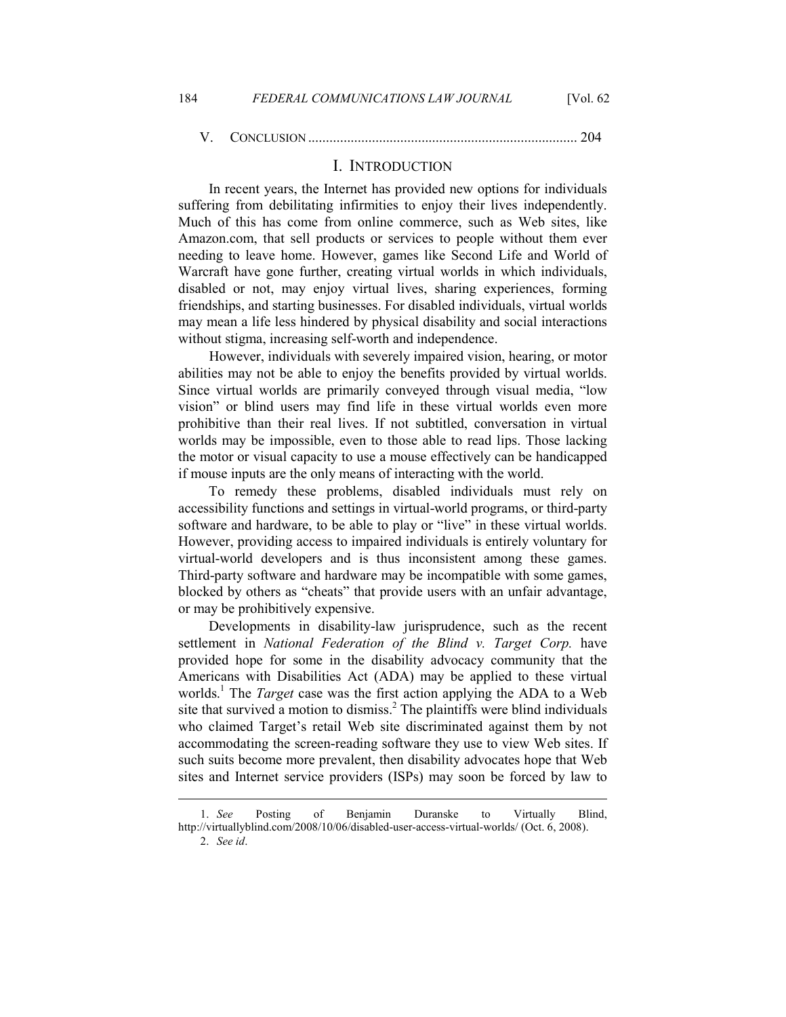#### I. INTRODUCTION

In recent years, the Internet has provided new options for individuals suffering from debilitating infirmities to enjoy their lives independently. Much of this has come from online commerce, such as Web sites, like Amazon.com, that sell products or services to people without them ever needing to leave home. However, games like Second Life and World of Warcraft have gone further, creating virtual worlds in which individuals, disabled or not, may enjoy virtual lives, sharing experiences, forming friendships, and starting businesses. For disabled individuals, virtual worlds may mean a life less hindered by physical disability and social interactions without stigma, increasing self-worth and independence.

 However, individuals with severely impaired vision, hearing, or motor abilities may not be able to enjoy the benefits provided by virtual worlds. Since virtual worlds are primarily conveyed through visual media, "low vision" or blind users may find life in these virtual worlds even more prohibitive than their real lives. If not subtitled, conversation in virtual worlds may be impossible, even to those able to read lips. Those lacking the motor or visual capacity to use a mouse effectively can be handicapped if mouse inputs are the only means of interacting with the world.

To remedy these problems, disabled individuals must rely on accessibility functions and settings in virtual-world programs, or third-party software and hardware, to be able to play or "live" in these virtual worlds. However, providing access to impaired individuals is entirely voluntary for virtual-world developers and is thus inconsistent among these games. Third-party software and hardware may be incompatible with some games, blocked by others as "cheats" that provide users with an unfair advantage, or may be prohibitively expensive.

Developments in disability-law jurisprudence, such as the recent settlement in *National Federation of the Blind v. Target Corp.* have provided hope for some in the disability advocacy community that the Americans with Disabilities Act (ADA) may be applied to these virtual worlds.<sup>1</sup> The *Target* case was the first action applying the ADA to a Web site that survived a motion to dismiss.<sup>2</sup> The plaintiffs were blind individuals who claimed Target's retail Web site discriminated against them by not accommodating the screen-reading software they use to view Web sites. If such suits become more prevalent, then disability advocates hope that Web sites and Internet service providers (ISPs) may soon be forced by law to

 <sup>1.</sup> *See* Posting of Benjamin Duranske to Virtually Blind, http://virtuallyblind.com/2008/10/06/disabled-user-access-virtual-worlds/ (Oct. 6, 2008). 2. *See id*.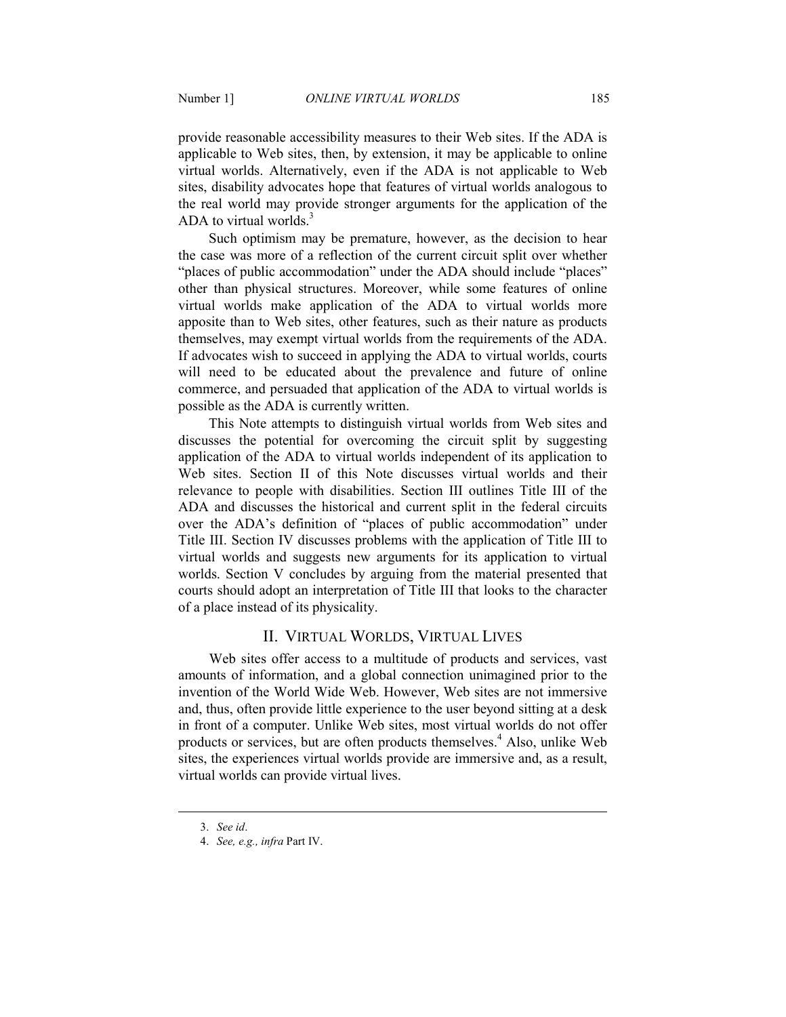provide reasonable accessibility measures to their Web sites. If the ADA is applicable to Web sites, then, by extension, it may be applicable to online virtual worlds. Alternatively, even if the ADA is not applicable to Web sites, disability advocates hope that features of virtual worlds analogous to the real world may provide stronger arguments for the application of the ADA to virtual worlds. $3$ 

Such optimism may be premature, however, as the decision to hear the case was more of a reflection of the current circuit split over whether "places of public accommodation" under the ADA should include "places" other than physical structures. Moreover, while some features of online virtual worlds make application of the ADA to virtual worlds more apposite than to Web sites, other features, such as their nature as products themselves, may exempt virtual worlds from the requirements of the ADA. If advocates wish to succeed in applying the ADA to virtual worlds, courts will need to be educated about the prevalence and future of online commerce, and persuaded that application of the ADA to virtual worlds is possible as the ADA is currently written.

This Note attempts to distinguish virtual worlds from Web sites and discusses the potential for overcoming the circuit split by suggesting application of the ADA to virtual worlds independent of its application to Web sites. Section II of this Note discusses virtual worlds and their relevance to people with disabilities. Section III outlines Title III of the ADA and discusses the historical and current split in the federal circuits over the ADA's definition of "places of public accommodation" under Title III. Section IV discusses problems with the application of Title III to virtual worlds and suggests new arguments for its application to virtual worlds. Section V concludes by arguing from the material presented that courts should adopt an interpretation of Title III that looks to the character of a place instead of its physicality.

## II. VIRTUAL WORLDS, VIRTUAL LIVES

 Web sites offer access to a multitude of products and services, vast amounts of information, and a global connection unimagined prior to the invention of the World Wide Web. However, Web sites are not immersive and, thus, often provide little experience to the user beyond sitting at a desk in front of a computer. Unlike Web sites, most virtual worlds do not offer products or services, but are often products themselves.<sup>4</sup> Also, unlike Web sites, the experiences virtual worlds provide are immersive and, as a result, virtual worlds can provide virtual lives.

 <sup>3.</sup> *See id*.

 <sup>4.</sup> *See, e.g., infra* Part IV.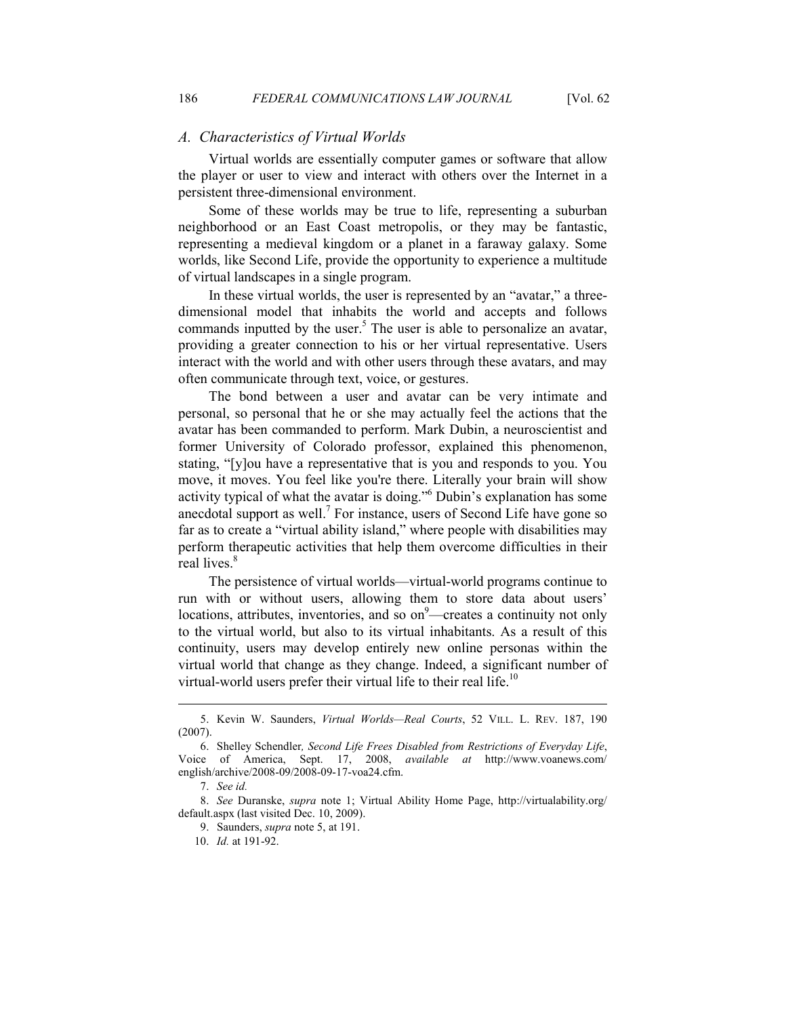#### *A. Characteristics of Virtual Worlds*

Virtual worlds are essentially computer games or software that allow the player or user to view and interact with others over the Internet in a persistent three-dimensional environment.

Some of these worlds may be true to life, representing a suburban neighborhood or an East Coast metropolis, or they may be fantastic, representing a medieval kingdom or a planet in a faraway galaxy. Some worlds, like Second Life, provide the opportunity to experience a multitude of virtual landscapes in a single program.

In these virtual worlds, the user is represented by an "avatar," a threedimensional model that inhabits the world and accepts and follows commands inputted by the user.<sup>5</sup> The user is able to personalize an avatar, providing a greater connection to his or her virtual representative. Users interact with the world and with other users through these avatars, and may often communicate through text, voice, or gestures.

The bond between a user and avatar can be very intimate and personal, so personal that he or she may actually feel the actions that the avatar has been commanded to perform. Mark Dubin, a neuroscientist and former University of Colorado professor, explained this phenomenon, stating, "[y]ou have a representative that is you and responds to you. You move, it moves. You feel like you're there. Literally your brain will show activity typical of what the avatar is doing."<sup>6</sup> Dubin's explanation has some anecdotal support as well.<sup>7</sup> For instance, users of Second Life have gone so far as to create a "virtual ability island," where people with disabilities may perform therapeutic activities that help them overcome difficulties in their real lives.<sup>8</sup>

The persistence of virtual worlds—virtual-world programs continue to run with or without users, allowing them to store data about users' locations, attributes, inventories, and so  $on<sup>9</sup>$ —creates a continuity not only to the virtual world, but also to its virtual inhabitants. As a result of this continuity, users may develop entirely new online personas within the virtual world that change as they change. Indeed, a significant number of virtual-world users prefer their virtual life to their real life.<sup>10</sup>

 <sup>5.</sup> Kevin W. Saunders, *Virtual Worlds—Real Courts*, 52 VILL. L. REV. 187, 190 (2007).

 <sup>6.</sup> Shelley Schendler*, Second Life Frees Disabled from Restrictions of Everyday Life*, Voice of America, Sept. 17, 2008, *available at* http://www.voanews.com/ english/archive/2008-09/2008-09-17-voa24.cfm.

 <sup>7.</sup> *See id.*

 <sup>8.</sup> *See* Duranske, *supra* note 1; Virtual Ability Home Page, http://virtualability.org/ default.aspx (last visited Dec. 10, 2009).

 <sup>9.</sup> Saunders, *supra* note 5, at 191.

 <sup>10.</sup> *Id.* at 191-92.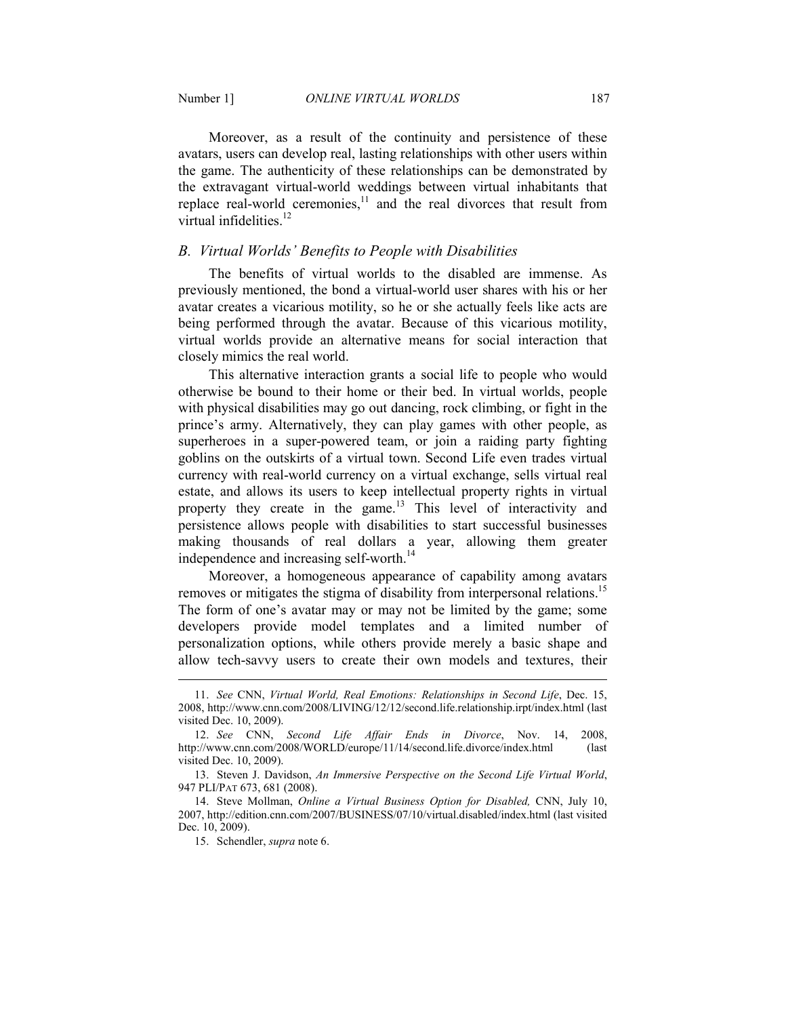Moreover, as a result of the continuity and persistence of these avatars, users can develop real, lasting relationships with other users within the game. The authenticity of these relationships can be demonstrated by the extravagant virtual-world weddings between virtual inhabitants that replace real-world ceremonies,<sup>11</sup> and the real divorces that result from virtual infidelities.<sup>12</sup>

#### *B. Virtual Worlds' Benefits to People with Disabilities*

The benefits of virtual worlds to the disabled are immense. As previously mentioned, the bond a virtual-world user shares with his or her avatar creates a vicarious motility, so he or she actually feels like acts are being performed through the avatar. Because of this vicarious motility, virtual worlds provide an alternative means for social interaction that closely mimics the real world.

This alternative interaction grants a social life to people who would otherwise be bound to their home or their bed. In virtual worlds, people with physical disabilities may go out dancing, rock climbing, or fight in the prince's army. Alternatively, they can play games with other people, as superheroes in a super-powered team, or join a raiding party fighting goblins on the outskirts of a virtual town. Second Life even trades virtual currency with real-world currency on a virtual exchange, sells virtual real estate, and allows its users to keep intellectual property rights in virtual property they create in the game.<sup>13</sup> This level of interactivity and persistence allows people with disabilities to start successful businesses making thousands of real dollars a year, allowing them greater independence and increasing self-worth.<sup>14</sup>

Moreover, a homogeneous appearance of capability among avatars removes or mitigates the stigma of disability from interpersonal relations.<sup>15</sup> The form of one's avatar may or may not be limited by the game; some developers provide model templates and a limited number of personalization options, while others provide merely a basic shape and allow tech-savvy users to create their own models and textures, their

 <sup>11.</sup> *See* CNN, *Virtual World, Real Emotions: Relationships in Second Life*, Dec. 15, 2008, http://www.cnn.com/2008/LIVING/12/12/second.life.relationship.irpt/index.html (last visited Dec. 10, 2009).

 <sup>12.</sup> *See* CNN, *Second Life Affair Ends in Divorce*, Nov. 14, 2008, http://www.cnn.com/2008/WORLD/europe/11/14/second.life.divorce/index.html (last visited Dec. 10, 2009).

 <sup>13.</sup> Steven J. Davidson, *An Immersive Perspective on the Second Life Virtual World*, 947 PLI/PAT 673, 681 (2008).

 <sup>14.</sup> Steve Mollman, *Online a Virtual Business Option for Disabled,* CNN, July 10, 2007, http://edition.cnn.com/2007/BUSINESS/07/10/virtual.disabled/index.html (last visited Dec. 10, 2009).

 <sup>15.</sup> Schendler, *supra* note 6.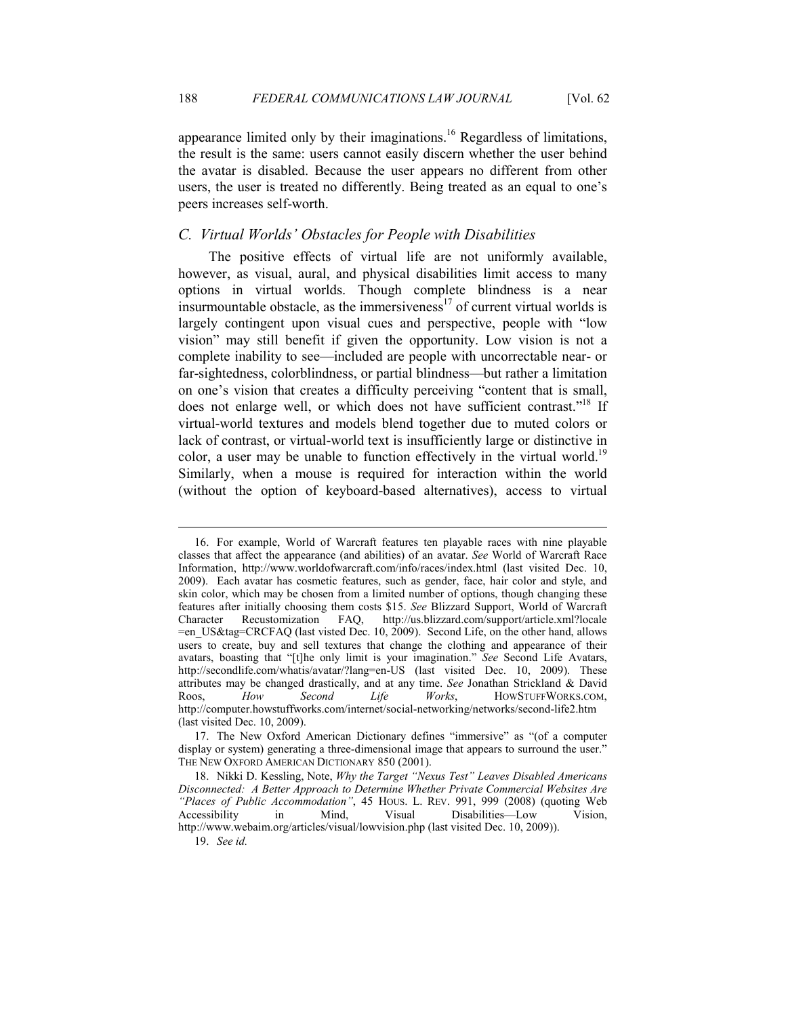appearance limited only by their imaginations.<sup>16</sup> Regardless of limitations, the result is the same: users cannot easily discern whether the user behind the avatar is disabled. Because the user appears no different from other users, the user is treated no differently. Being treated as an equal to one's peers increases self-worth.

## *C. Virtual Worlds' Obstacles for People with Disabilities*

The positive effects of virtual life are not uniformly available, however, as visual, aural, and physical disabilities limit access to many options in virtual worlds. Though complete blindness is a near insurmountable obstacle, as the immersiveness $17$  of current virtual worlds is largely contingent upon visual cues and perspective, people with "low vision" may still benefit if given the opportunity. Low vision is not a complete inability to see—included are people with uncorrectable near- or far-sightedness, colorblindness, or partial blindness—but rather a limitation on one's vision that creates a difficulty perceiving "content that is small, does not enlarge well, or which does not have sufficient contrast."<sup>18</sup> If virtual-world textures and models blend together due to muted colors or lack of contrast, or virtual-world text is insufficiently large or distinctive in color, a user may be unable to function effectively in the virtual world.<sup>19</sup> Similarly, when a mouse is required for interaction within the world (without the option of keyboard-based alternatives), access to virtual

 <sup>16.</sup> For example, World of Warcraft features ten playable races with nine playable classes that affect the appearance (and abilities) of an avatar. *See* World of Warcraft Race Information, http://www.worldofwarcraft.com/info/races/index.html (last visited Dec. 10, 2009). Each avatar has cosmetic features, such as gender, face, hair color and style, and skin color, which may be chosen from a limited number of options, though changing these features after initially choosing them costs \$15. *See* Blizzard Support, World of Warcraft Character Recustomization FAQ, http://us.blizzard.com/support/article.xml?locale =en\_US&tag=CRCFAQ (last visted Dec. 10, 2009). Second Life, on the other hand, allows users to create, buy and sell textures that change the clothing and appearance of their avatars, boasting that "[t]he only limit is your imagination." *See* Second Life Avatars, http://secondlife.com/whatis/avatar/?lang=en-US (last visited Dec. 10, 2009). These attributes may be changed drastically, and at any time. *See* Jonathan Strickland & David Roos, *How Second Life Works*, HOWSTUFFWORKS.COM, http://computer.howstuffworks.com/internet/social-networking/networks/second-life2.htm (last visited Dec. 10, 2009).

 <sup>17.</sup> The New Oxford American Dictionary defines "immersive" as "(of a computer display or system) generating a three-dimensional image that appears to surround the user." THE NEW OXFORD AMERICAN DICTIONARY 850 (2001).

<sup>18.</sup> Nikki D. Kessling, Note, *Why the Target "Nexus Test" Leaves Disabled Americans Disconnected: A Better Approach to Determine Whether Private Commercial Websites Are "Places of Public Accommodation"*, 45 HOUS. L. REV. 991, 999 (2008) (quoting Web Accessibility in Mind, Visual Disabilities—Low Vision, Disabilities—Low Vision, http://www.webaim.org/articles/visual/lowvision.php (last visited Dec. 10, 2009)).

 <sup>19.</sup> *See id.*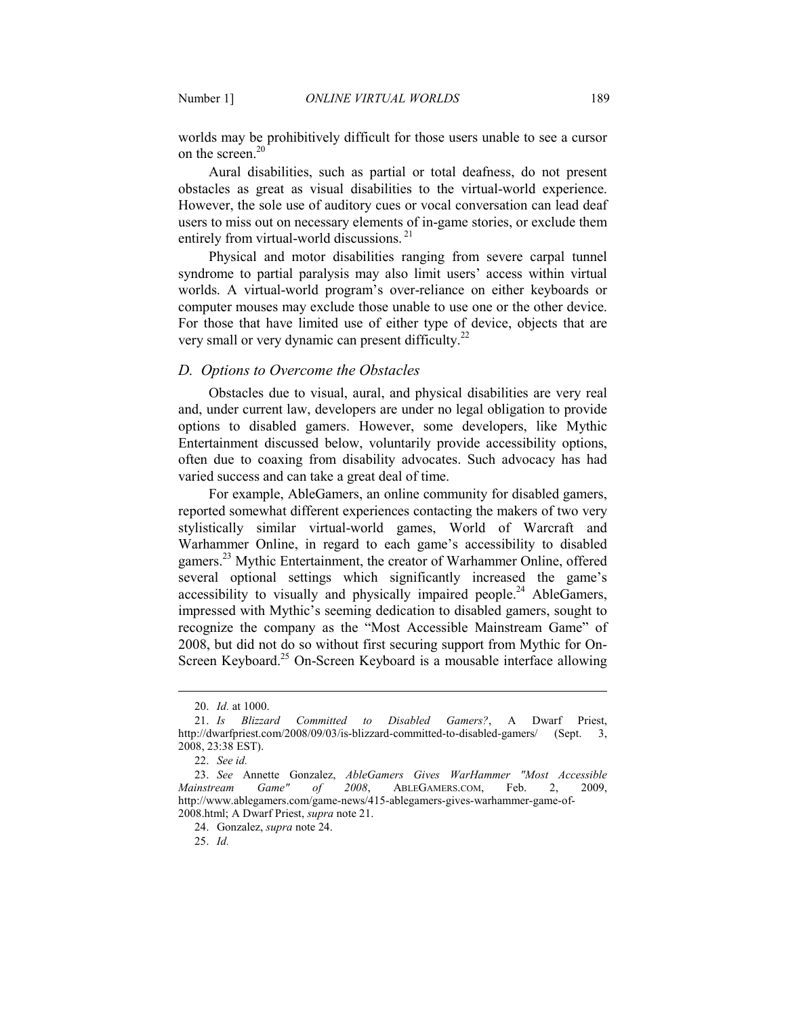worlds may be prohibitively difficult for those users unable to see a cursor on the screen.<sup>20</sup>

Aural disabilities, such as partial or total deafness, do not present obstacles as great as visual disabilities to the virtual-world experience. However, the sole use of auditory cues or vocal conversation can lead deaf users to miss out on necessary elements of in-game stories, or exclude them entirely from virtual-world discussions.<sup>21</sup>

Physical and motor disabilities ranging from severe carpal tunnel syndrome to partial paralysis may also limit users' access within virtual worlds. A virtual-world program's over-reliance on either keyboards or computer mouses may exclude those unable to use one or the other device. For those that have limited use of either type of device, objects that are very small or very dynamic can present difficulty.<sup>22</sup>

#### *D. Options to Overcome the Obstacles*

Obstacles due to visual, aural, and physical disabilities are very real and, under current law, developers are under no legal obligation to provide options to disabled gamers. However, some developers, like Mythic Entertainment discussed below, voluntarily provide accessibility options, often due to coaxing from disability advocates. Such advocacy has had varied success and can take a great deal of time.

For example, AbleGamers, an online community for disabled gamers, reported somewhat different experiences contacting the makers of two very stylistically similar virtual-world games, World of Warcraft and Warhammer Online, in regard to each game's accessibility to disabled gamers.<sup>23</sup> Mythic Entertainment, the creator of Warhammer Online, offered several optional settings which significantly increased the game's accessibility to visually and physically impaired people.<sup>24</sup> AbleGamers, impressed with Mythic's seeming dedication to disabled gamers, sought to recognize the company as the "Most Accessible Mainstream Game" of 2008, but did not do so without first securing support from Mythic for On-Screen Keyboard.<sup>25</sup> On-Screen Keyboard is a mousable interface allowing

 <sup>20.</sup> *Id.* at 1000.

 <sup>21.</sup> *Is Blizzard Committed to Disabled Gamers?*, A Dwarf Priest, http://dwarfpriest.com/2008/09/03/is-blizzard-committed-to-disabled-gamers/ (Sept. 3, 2008, 23:38 EST).

 <sup>22.</sup> *See id.*

 <sup>23.</sup> *See* Annette Gonzalez, *AbleGamers Gives WarHammer "Most Accessible Mainstream Game" of 2008*, ABLEGAMERS.COM, Feb. 2, 2009, http://www.ablegamers.com/game-news/415-ablegamers-gives-warhammer-game-of-2008.html; A Dwarf Priest, *supra* note 21.

 <sup>24.</sup> Gonzalez, *supra* note 24.

 <sup>25.</sup> *Id.*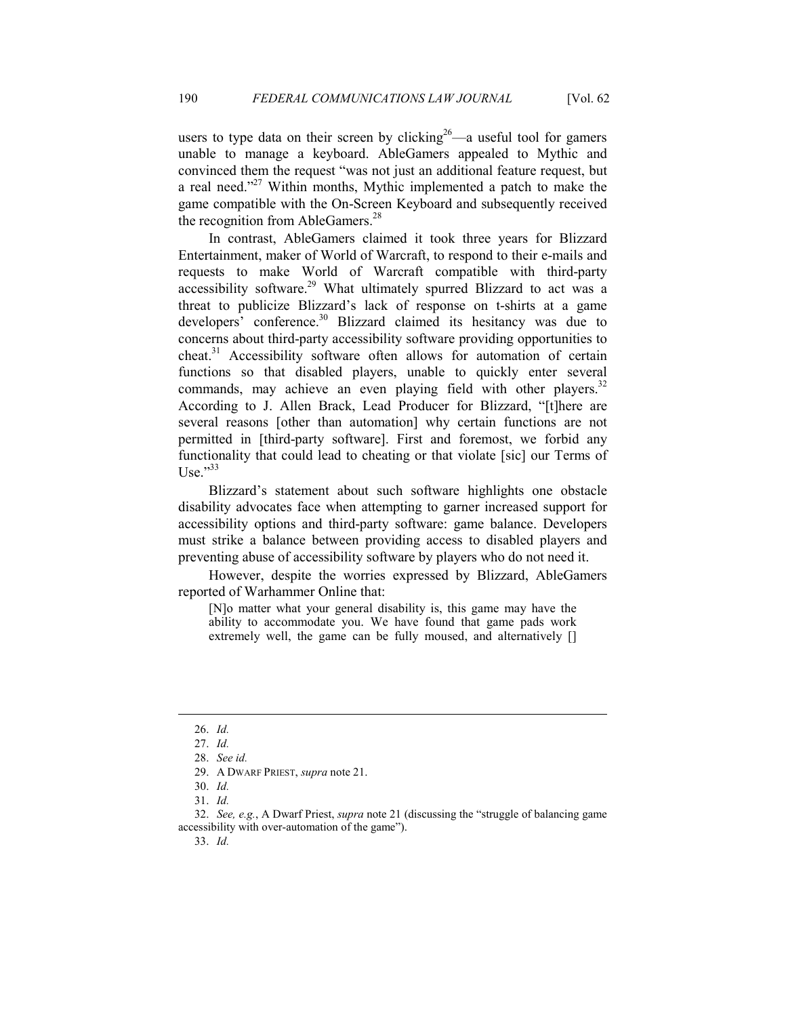users to type data on their screen by clicking<sup>26</sup>—a useful tool for gamers unable to manage a keyboard. AbleGamers appealed to Mythic and convinced them the request "was not just an additional feature request, but a real need."<sup>27</sup> Within months, Mythic implemented a patch to make the game compatible with the On-Screen Keyboard and subsequently received the recognition from AbleGamers.<sup>28</sup>

In contrast, AbleGamers claimed it took three years for Blizzard Entertainment, maker of World of Warcraft, to respond to their e-mails and requests to make World of Warcraft compatible with third-party accessibility software.<sup>29</sup> What ultimately spurred Blizzard to act was a threat to publicize Blizzard's lack of response on t-shirts at a game developers<sup>2</sup> conference.<sup>30</sup> Blizzard claimed its hesitancy was due to concerns about third-party accessibility software providing opportunities to  $cheat.<sup>31</sup> Accessibility software often allows for automation of certain$ functions so that disabled players, unable to quickly enter several commands, may achieve an even playing field with other players. $32$ According to J. Allen Brack, Lead Producer for Blizzard, "[t]here are several reasons [other than automation] why certain functions are not permitted in [third-party software]. First and foremost, we forbid any functionality that could lead to cheating or that violate [sic] our Terms of Use." $33$ 

Blizzard's statement about such software highlights one obstacle disability advocates face when attempting to garner increased support for accessibility options and third-party software: game balance. Developers must strike a balance between providing access to disabled players and preventing abuse of accessibility software by players who do not need it.

However, despite the worries expressed by Blizzard, AbleGamers reported of Warhammer Online that:

[N]o matter what your general disability is, this game may have the ability to accommodate you. We have found that game pads work extremely well, the game can be fully moused, and alternatively []

 <sup>26.</sup> *Id.*

 <sup>27.</sup> *Id.*

 <sup>28.</sup> *See id.*

 <sup>29.</sup> A DWARF PRIEST, *supra* note 21.

 <sup>30.</sup> *Id.*

 <sup>31.</sup> *Id.*

 <sup>32.</sup> *See, e.g.*, A Dwarf Priest, *supra* note 21 (discussing the "struggle of balancing game accessibility with over-automation of the game").

 <sup>33.</sup> *Id.*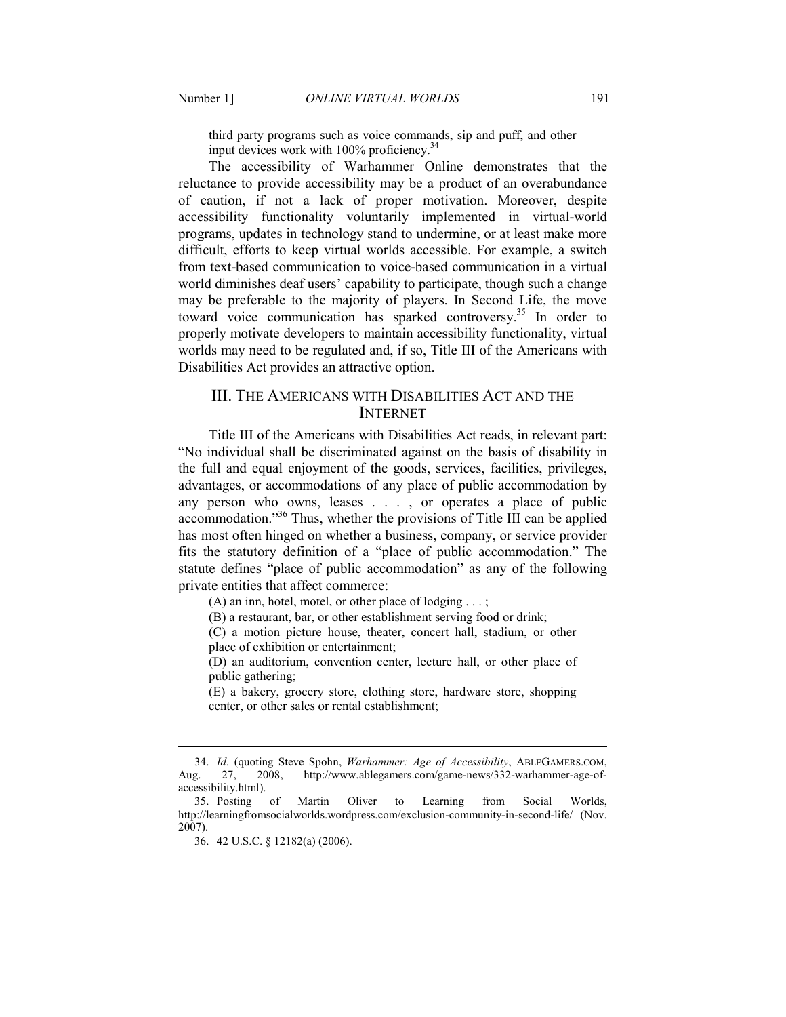third party programs such as voice commands, sip and puff, and other input devices work with  $100\%$  proficiency.<sup>34</sup>

The accessibility of Warhammer Online demonstrates that the reluctance to provide accessibility may be a product of an overabundance of caution, if not a lack of proper motivation. Moreover, despite accessibility functionality voluntarily implemented in virtual-world programs, updates in technology stand to undermine, or at least make more difficult, efforts to keep virtual worlds accessible. For example, a switch from text-based communication to voice-based communication in a virtual world diminishes deaf users' capability to participate, though such a change may be preferable to the majority of players. In Second Life, the move toward voice communication has sparked controversy.<sup>35</sup> In order to properly motivate developers to maintain accessibility functionality, virtual worlds may need to be regulated and, if so, Title III of the Americans with Disabilities Act provides an attractive option.

## III. THE AMERICANS WITH DISABILITIES ACT AND THE INTERNET

Title III of the Americans with Disabilities Act reads, in relevant part: "No individual shall be discriminated against on the basis of disability in the full and equal enjoyment of the goods, services, facilities, privileges, advantages, or accommodations of any place of public accommodation by any person who owns, leases . . . , or operates a place of public accommodation."<sup>36</sup> Thus, whether the provisions of Title III can be applied has most often hinged on whether a business, company, or service provider fits the statutory definition of a "place of public accommodation." The statute defines "place of public accommodation" as any of the following private entities that affect commerce:

(A) an inn, hotel, motel, or other place of lodging  $\dots$ ;

(B) a restaurant, bar, or other establishment serving food or drink;

(C) a motion picture house, theater, concert hall, stadium, or other place of exhibition or entertainment;

(D) an auditorium, convention center, lecture hall, or other place of public gathering;

(E) a bakery, grocery store, clothing store, hardware store, shopping center, or other sales or rental establishment;

 <sup>34.</sup> *Id.* (quoting Steve Spohn, *Warhammer: Age of Accessibility*, ABLEGAMERS.COM, Aug. 27, 2008, http://www.ablegamers.com/game-news/332-warhammer-age-ofaccessibility.html).

 <sup>35.</sup> Posting of Martin Oliver to Learning from Social Worlds, http://learningfromsocialworlds.wordpress.com/exclusion-community-in-second-life/ (Nov. 2007).

 <sup>36. 42</sup> U.S.C. § 12182(a) (2006).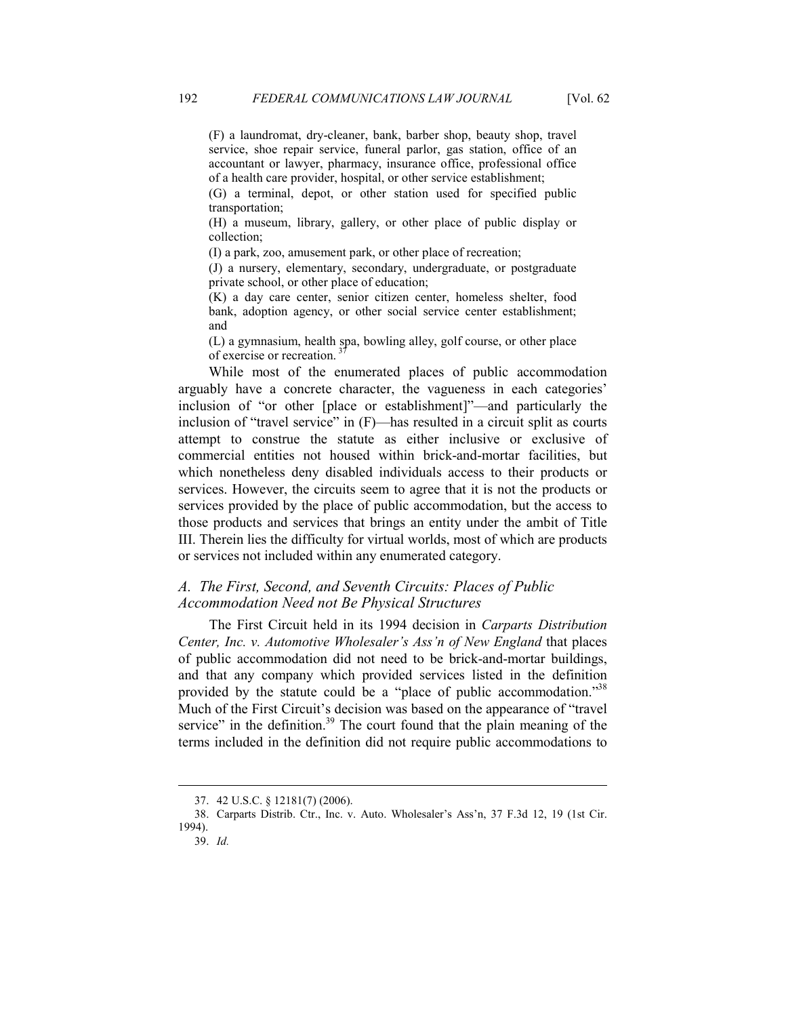(F) a laundromat, dry-cleaner, bank, barber shop, beauty shop, travel service, shoe repair service, funeral parlor, gas station, office of an accountant or lawyer, pharmacy, insurance office, professional office of a health care provider, hospital, or other service establishment;

(G) a terminal, depot, or other station used for specified public transportation;

(H) a museum, library, gallery, or other place of public display or collection;

(I) a park, zoo, amusement park, or other place of recreation;

(J) a nursery, elementary, secondary, undergraduate, or postgraduate private school, or other place of education;

(K) a day care center, senior citizen center, homeless shelter, food bank, adoption agency, or other social service center establishment; and

(L) a gymnasium, health spa, bowling alley, golf course, or other place of exercise or recreation.<sup>3</sup>

While most of the enumerated places of public accommodation arguably have a concrete character, the vagueness in each categories' inclusion of "or other [place or establishment]"—and particularly the inclusion of "travel service" in (F)—has resulted in a circuit split as courts attempt to construe the statute as either inclusive or exclusive of commercial entities not housed within brick-and-mortar facilities, but which nonetheless deny disabled individuals access to their products or services. However, the circuits seem to agree that it is not the products or services provided by the place of public accommodation, but the access to those products and services that brings an entity under the ambit of Title III. Therein lies the difficulty for virtual worlds, most of which are products or services not included within any enumerated category.

## *A. The First, Second, and Seventh Circuits: Places of Public Accommodation \$eed not Be Physical Structures*

 The First Circuit held in its 1994 decision in *Carparts Distribution Center, Inc. v. Automotive Wholesaler's Ass'n of New England that places* of public accommodation did not need to be brick-and-mortar buildings, and that any company which provided services listed in the definition provided by the statute could be a "place of public accommodation."38 Much of the First Circuit's decision was based on the appearance of "travel service" in the definition. $39$  The court found that the plain meaning of the terms included in the definition did not require public accommodations to

 <sup>37. 42</sup> U.S.C. § 12181(7) (2006).

 <sup>38.</sup> Carparts Distrib. Ctr., Inc. v. Auto. Wholesaler's Ass'n, 37 F.3d 12, 19 (1st Cir. 1994).

 <sup>39.</sup> *Id.*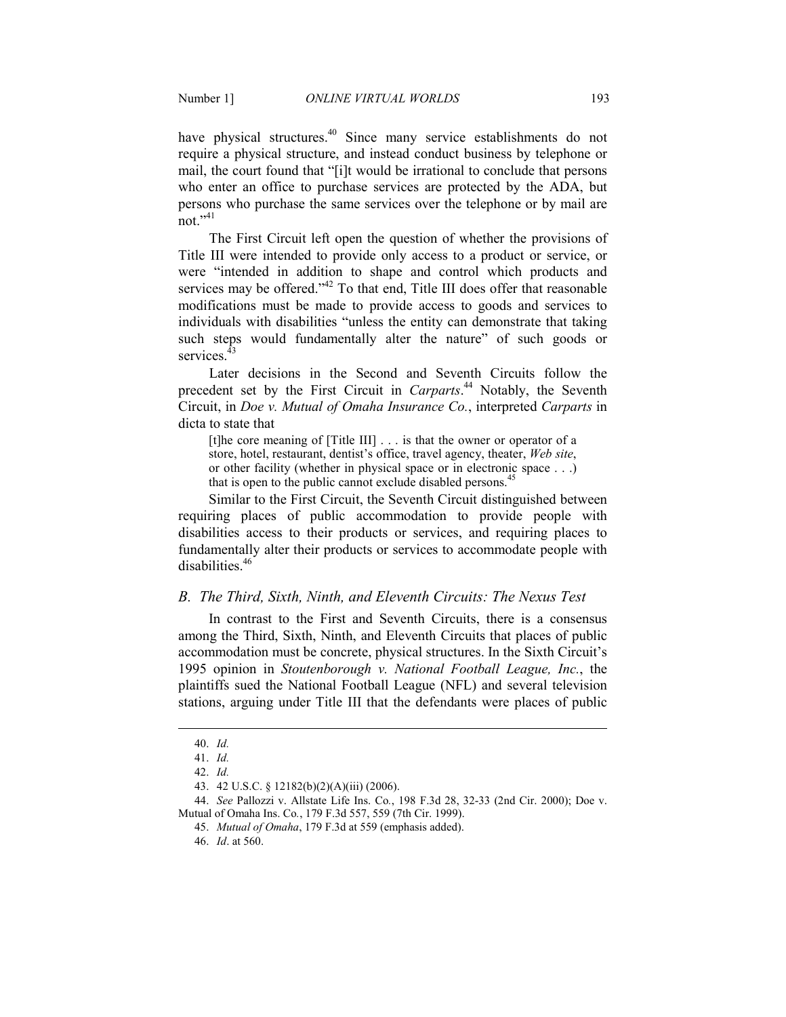have physical structures.<sup>40</sup> Since many service establishments do not require a physical structure, and instead conduct business by telephone or mail, the court found that "[i]t would be irrational to conclude that persons who enter an office to purchase services are protected by the ADA, but persons who purchase the same services over the telephone or by mail are not."<sup>41</sup>

 The First Circuit left open the question of whether the provisions of Title III were intended to provide only access to a product or service, or were "intended in addition to shape and control which products and services may be offered."<sup>42</sup> To that end, Title III does offer that reasonable modifications must be made to provide access to goods and services to individuals with disabilities "unless the entity can demonstrate that taking such steps would fundamentally alter the nature" of such goods or services.<sup>4</sup>

 Later decisions in the Second and Seventh Circuits follow the precedent set by the First Circuit in *Carparts*. <sup>44</sup> Notably, the Seventh Circuit, in *Doe v. Mutual of Omaha Insurance Co.*, interpreted *Carparts* in dicta to state that

[t]he core meaning of [Title III] . . . is that the owner or operator of a store, hotel, restaurant, dentist's office, travel agency, theater, *Web site*, or other facility (whether in physical space or in electronic space . . .) that is open to the public cannot exclude disabled persons.<sup>45</sup>

Similar to the First Circuit, the Seventh Circuit distinguished between requiring places of public accommodation to provide people with disabilities access to their products or services, and requiring places to fundamentally alter their products or services to accommodate people with disabilities.<sup>46</sup>

#### *B. The Third, Sixth, Ninth, and Eleventh Circuits: The Nexus Test*

In contrast to the First and Seventh Circuits, there is a consensus among the Third, Sixth, Ninth, and Eleventh Circuits that places of public accommodation must be concrete, physical structures. In the Sixth Circuit's 1995 opinion in *Stoutenborough v. National Football League, Inc.*, the plaintiffs sued the National Football League (NFL) and several television stations, arguing under Title III that the defendants were places of public

-

 44. *See* Pallozzi v. Allstate Life Ins. Co*.*, 198 F.3d 28, 32-33 (2nd Cir. 2000); Doe v. Mutual of Omaha Ins. Co*.*, 179 F.3d 557, 559 (7th Cir. 1999).

 <sup>40.</sup> *Id.*

 <sup>41.</sup> *Id.* 

 <sup>42.</sup> *Id.*

 <sup>43. 42</sup> U.S.C. § 12182(b)(2)(A)(iii) (2006).

<sup>45.</sup> *Mutual of Omaha*, 179 F.3d at 559 (emphasis added).

<sup>46.</sup> *Id*. at 560.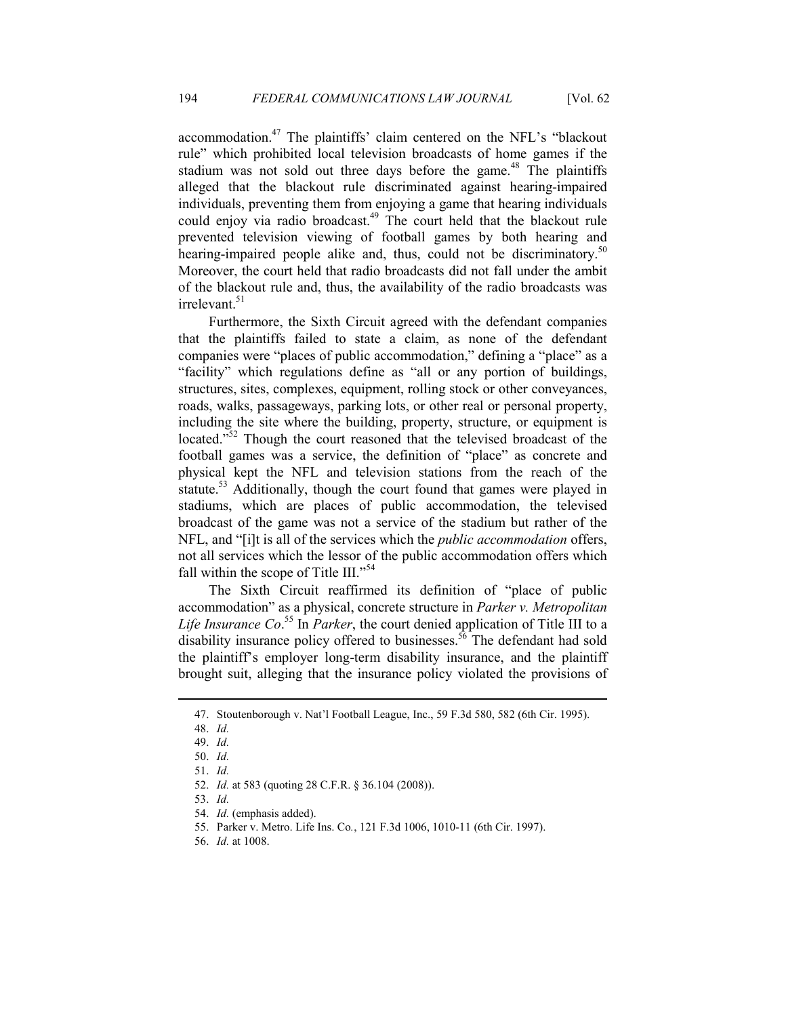accommodation.<sup>47</sup> The plaintiffs' claim centered on the NFL's "blackout rule" which prohibited local television broadcasts of home games if the stadium was not sold out three days before the game.<sup>48</sup> The plaintiffs alleged that the blackout rule discriminated against hearing-impaired individuals, preventing them from enjoying a game that hearing individuals could enjoy via radio broadcast.<sup>49</sup> The court held that the blackout rule prevented television viewing of football games by both hearing and hearing-impaired people alike and, thus, could not be discriminatory.<sup>50</sup> Moreover, the court held that radio broadcasts did not fall under the ambit of the blackout rule and, thus, the availability of the radio broadcasts was irrelevant.<sup>51</sup>

Furthermore, the Sixth Circuit agreed with the defendant companies that the plaintiffs failed to state a claim, as none of the defendant companies were "places of public accommodation," defining a "place" as a "facility" which regulations define as "all or any portion of buildings, structures, sites, complexes, equipment, rolling stock or other conveyances, roads, walks, passageways, parking lots, or other real or personal property, including the site where the building, property, structure, or equipment is located."<sup>52</sup> Though the court reasoned that the televised broadcast of the football games was a service, the definition of "place" as concrete and physical kept the NFL and television stations from the reach of the statute.<sup>53</sup> Additionally, though the court found that games were played in stadiums, which are places of public accommodation, the televised broadcast of the game was not a service of the stadium but rather of the NFL, and "[i]t is all of the services which the *public accommodation* offers, not all services which the lessor of the public accommodation offers which fall within the scope of Title III."<sup>54</sup>

The Sixth Circuit reaffirmed its definition of "place of public accommodation" as a physical, concrete structure in *Parker v. Metropolitan Life Insurance Co*. <sup>55</sup> In *Parker*, the court denied application of Title III to a disability insurance policy offered to businesses.<sup>56</sup> The defendant had sold the plaintiff's employer long-term disability insurance, and the plaintiff brought suit, alleging that the insurance policy violated the provisions of

 <sup>47.</sup> Stoutenborough v. Nat'l Football League, Inc., 59 F.3d 580, 582 (6th Cir. 1995).

 <sup>48.</sup> *Id.*

 <sup>49.</sup> *Id.*

 <sup>50.</sup> *Id.*

 <sup>51.</sup> *Id.*

 <sup>52.</sup> *Id.* at 583 (quoting 28 C.F.R. § 36.104 (2008)).

 <sup>53.</sup> *Id.*

<sup>54.</sup> *Id.* (emphasis added).

 <sup>55.</sup> Parker v. Metro. Life Ins. Co*.*, 121 F.3d 1006, 1010-11 (6th Cir. 1997).

 <sup>56.</sup> *Id.* at 1008.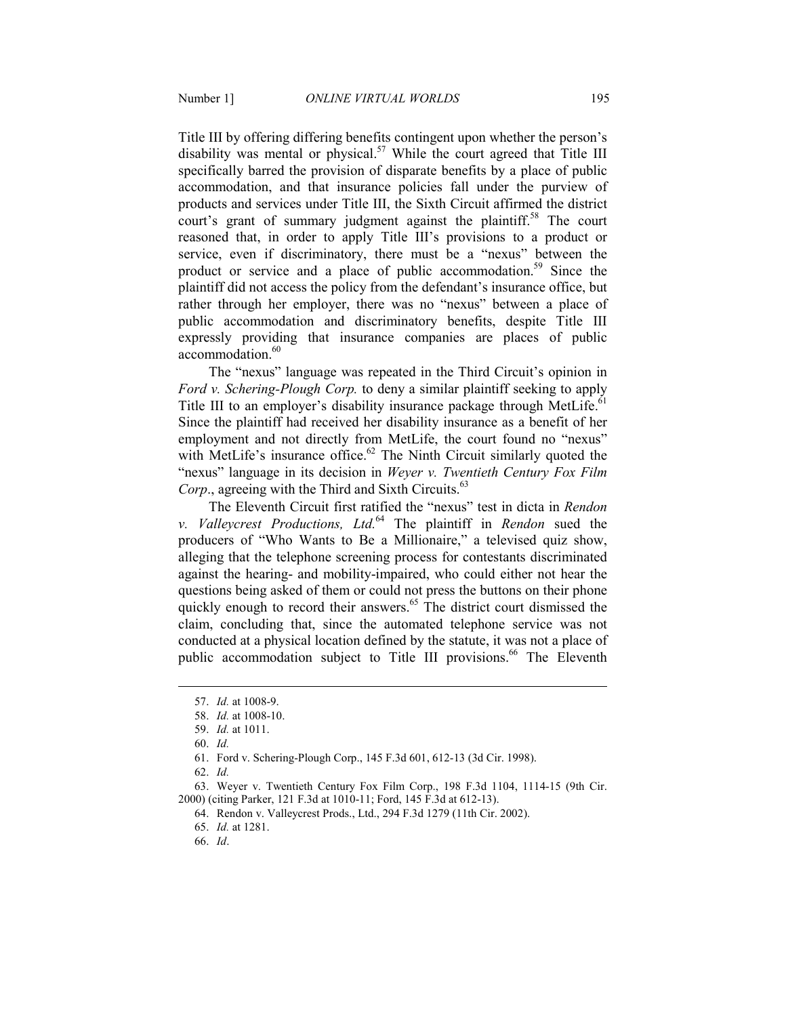Title III by offering differing benefits contingent upon whether the person's disability was mental or physical.<sup>57</sup> While the court agreed that Title III specifically barred the provision of disparate benefits by a place of public accommodation, and that insurance policies fall under the purview of products and services under Title III, the Sixth Circuit affirmed the district court's grant of summary judgment against the plaintiff.<sup>58</sup> The court reasoned that, in order to apply Title III's provisions to a product or service, even if discriminatory, there must be a "nexus" between the product or service and a place of public accommodation.<sup>59</sup> Since the plaintiff did not access the policy from the defendant's insurance office, but rather through her employer, there was no "nexus" between a place of public accommodation and discriminatory benefits, despite Title III expressly providing that insurance companies are places of public accommodation.<sup>60</sup>

The "nexus" language was repeated in the Third Circuit's opinion in *Ford v. Schering-Plough Corp.* to deny a similar plaintiff seeking to apply Title III to an employer's disability insurance package through MetLife.<sup>61</sup> Since the plaintiff had received her disability insurance as a benefit of her employment and not directly from MetLife, the court found no "nexus" with MetLife's insurance office.<sup>62</sup> The Ninth Circuit similarly quoted the "nexus" language in its decision in *Weyer v. Twentieth Century Fox Film*  Corp., agreeing with the Third and Sixth Circuits.<sup>63</sup>

The Eleventh Circuit first ratified the "nexus" test in dicta in *Rendon v. Valleycrest Productions, Ltd.*<sup>64</sup> The plaintiff in *Rendon* sued the producers of "Who Wants to Be a Millionaire," a televised quiz show, alleging that the telephone screening process for contestants discriminated against the hearing- and mobility-impaired, who could either not hear the questions being asked of them or could not press the buttons on their phone quickly enough to record their answers. $65$  The district court dismissed the claim, concluding that, since the automated telephone service was not conducted at a physical location defined by the statute, it was not a place of public accommodation subject to Title III provisions.<sup>66</sup> The Eleventh

-

62. *Id.*

 63. Weyer v. Twentieth Century Fox Film Corp., 198 F.3d 1104, 1114-15 (9th Cir. 2000) (citing Parker, 121 F.3d at 1010-11; Ford, 145 F.3d at 612-13).

66. *Id*.

 <sup>57.</sup> *Id.* at 1008-9.

 <sup>58.</sup> *Id.* at 1008-10.

 <sup>59.</sup> *Id.* at 1011.

 <sup>60.</sup> *Id.*

 <sup>61.</sup> Ford v. Schering-Plough Corp., 145 F.3d 601, 612-13 (3d Cir. 1998).

 <sup>64.</sup> Rendon v. Valleycrest Prods., Ltd., 294 F.3d 1279 (11th Cir. 2002).

 <sup>65.</sup> *Id.* at 1281.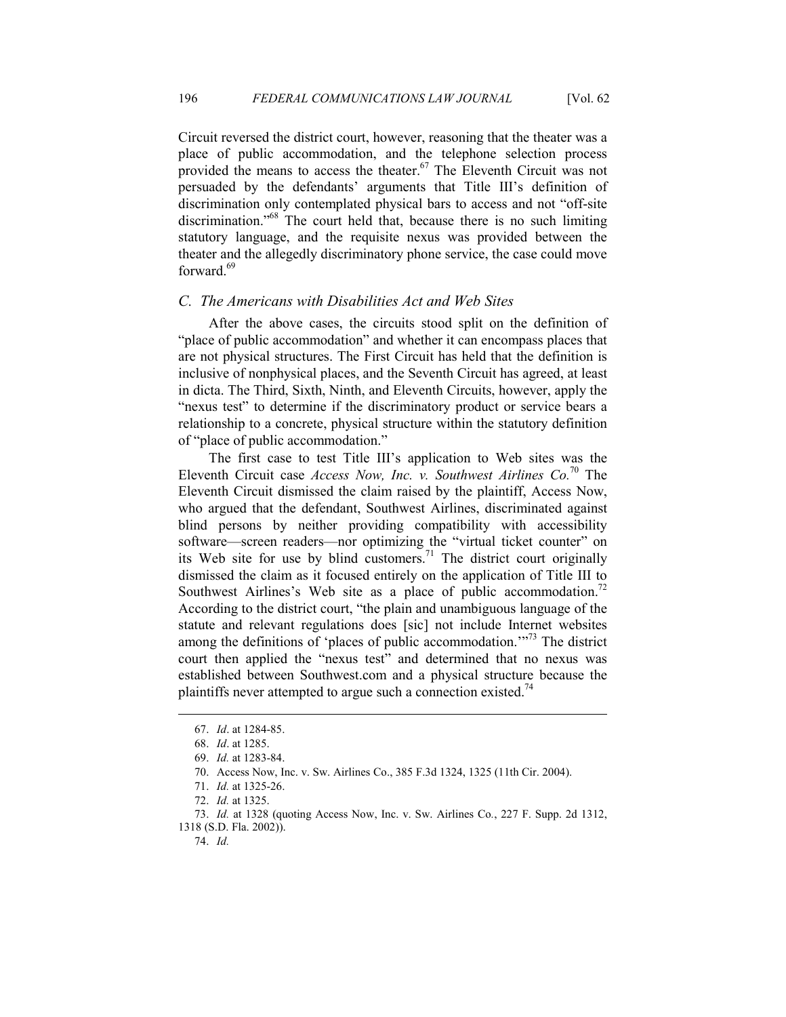Circuit reversed the district court, however, reasoning that the theater was a place of public accommodation, and the telephone selection process provided the means to access the theater.<sup>67</sup> The Eleventh Circuit was not persuaded by the defendants' arguments that Title III's definition of discrimination only contemplated physical bars to access and not "off-site discrimination."<sup>68</sup> The court held that, because there is no such limiting statutory language, and the requisite nexus was provided between the theater and the allegedly discriminatory phone service, the case could move forward $69$ 

#### *C. The Americans with Disabilities Act and Web Sites*

After the above cases, the circuits stood split on the definition of "place of public accommodation" and whether it can encompass places that are not physical structures. The First Circuit has held that the definition is inclusive of nonphysical places, and the Seventh Circuit has agreed, at least in dicta. The Third, Sixth, Ninth, and Eleventh Circuits, however, apply the "nexus test" to determine if the discriminatory product or service bears a relationship to a concrete, physical structure within the statutory definition of "place of public accommodation."

The first case to test Title III's application to Web sites was the Eleventh Circuit case *Access Now, Inc. v. Southwest Airlines Co.*<sup>70</sup> The Eleventh Circuit dismissed the claim raised by the plaintiff, Access Now, who argued that the defendant, Southwest Airlines, discriminated against blind persons by neither providing compatibility with accessibility software—screen readers—nor optimizing the "virtual ticket counter" on its Web site for use by blind customers.<sup>71</sup> The district court originally dismissed the claim as it focused entirely on the application of Title III to Southwest Airlines's Web site as a place of public accommodation.<sup>72</sup> According to the district court, "the plain and unambiguous language of the statute and relevant regulations does [sic] not include Internet websites among the definitions of 'places of public accommodation.'"<sup>73</sup> The district court then applied the "nexus test" and determined that no nexus was established between Southwest.com and a physical structure because the plaintiffs never attempted to argue such a connection existed.<sup>74</sup>

<sup>67.</sup> *Id*. at 1284-85.

 <sup>68.</sup> *Id*. at 1285.

<sup>69.</sup> *Id.* at 1283-84.

 <sup>70.</sup> Access Now, Inc. v. Sw. Airlines Co., 385 F.3d 1324, 1325 (11th Cir. 2004).

 <sup>71.</sup> *Id.* at 1325-26.

 <sup>72.</sup> *Id.* at 1325.

 <sup>73.</sup> *Id.* at 1328 (quoting Access Now, Inc. v. Sw. Airlines Co*.*, 227 F. Supp. 2d 1312, 1318 (S.D. Fla. 2002)).

 <sup>74.</sup> *Id.*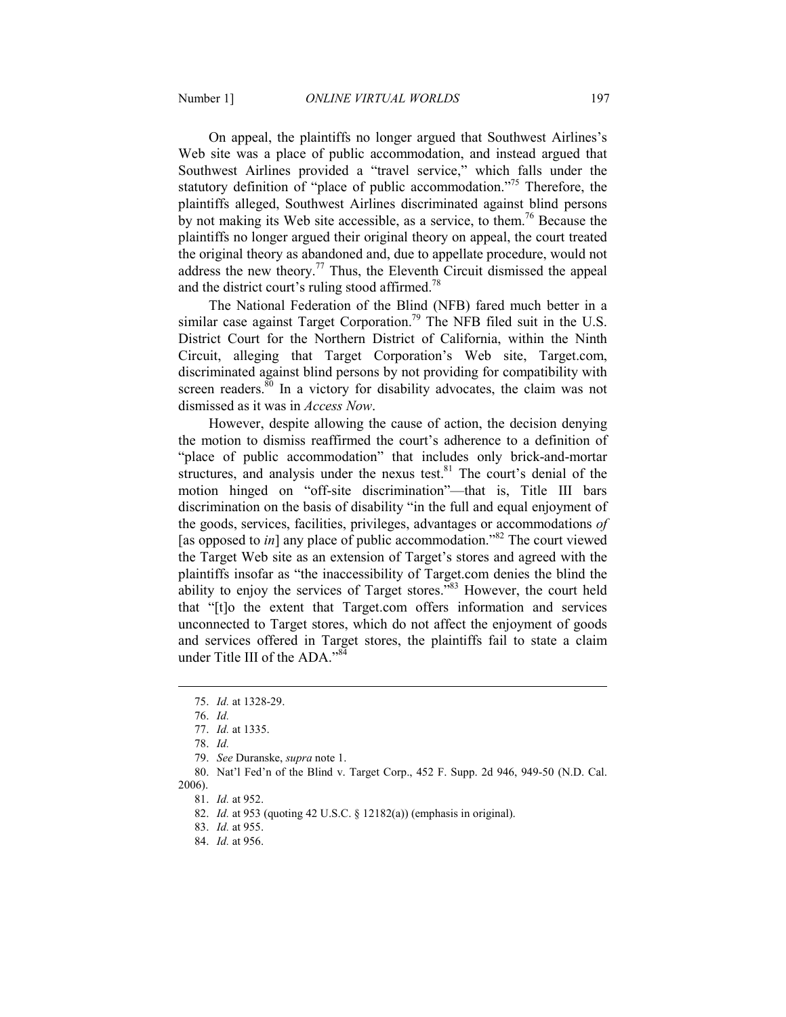On appeal, the plaintiffs no longer argued that Southwest Airlines's Web site was a place of public accommodation, and instead argued that Southwest Airlines provided a "travel service," which falls under the statutory definition of "place of public accommodation."<sup>75</sup> Therefore, the plaintiffs alleged, Southwest Airlines discriminated against blind persons by not making its Web site accessible, as a service, to them.<sup>76</sup> Because the plaintiffs no longer argued their original theory on appeal, the court treated the original theory as abandoned and, due to appellate procedure, would not address the new theory.<sup>77</sup> Thus, the Eleventh Circuit dismissed the appeal and the district court's ruling stood affirmed.<sup>78</sup>

The National Federation of the Blind (NFB) fared much better in a similar case against Target Corporation.<sup>79</sup> The NFB filed suit in the U.S. District Court for the Northern District of California, within the Ninth Circuit, alleging that Target Corporation's Web site, Target.com, discriminated against blind persons by not providing for compatibility with screen readers.<sup>80</sup> In a victory for disability advocates, the claim was not dismissed as it was in *Access Now*.

However, despite allowing the cause of action, the decision denying the motion to dismiss reaffirmed the court's adherence to a definition of "place of public accommodation" that includes only brick-and-mortar structures, and analysis under the nexus test. $81$  The court's denial of the motion hinged on "off-site discrimination"—that is, Title III bars discrimination on the basis of disability "in the full and equal enjoyment of the goods, services, facilities, privileges, advantages or accommodations *of* [as opposed to *in*] any place of public accommodation."<sup>82</sup> The court viewed the Target Web site as an extension of Target's stores and agreed with the plaintiffs insofar as "the inaccessibility of Target.com denies the blind the ability to enjoy the services of Target stores."<sup>83</sup> However, the court held that "[t]o the extent that Target.com offers information and services unconnected to Target stores, which do not affect the enjoyment of goods and services offered in Target stores, the plaintiffs fail to state a claim under Title III of the ADA."<sup>84</sup>

2006).

-

 <sup>75.</sup> *Id.* at 1328-29.

 <sup>76.</sup> *Id.*

 <sup>77.</sup> *Id.* at 1335.

 <sup>78.</sup> *Id.*

 <sup>79.</sup> *See* Duranske, *supra* note 1.

 <sup>80.</sup> Nat'l Fed'n of the Blind v. Target Corp., 452 F. Supp. 2d 946, 949-50 (N.D. Cal.

 <sup>81.</sup> *Id.* at 952.

 <sup>82.</sup> *Id.* at 953 (quoting 42 U.S.C. § 12182(a)) (emphasis in original).

 <sup>83.</sup> *Id.* at 955.

 <sup>84.</sup> *Id.* at 956.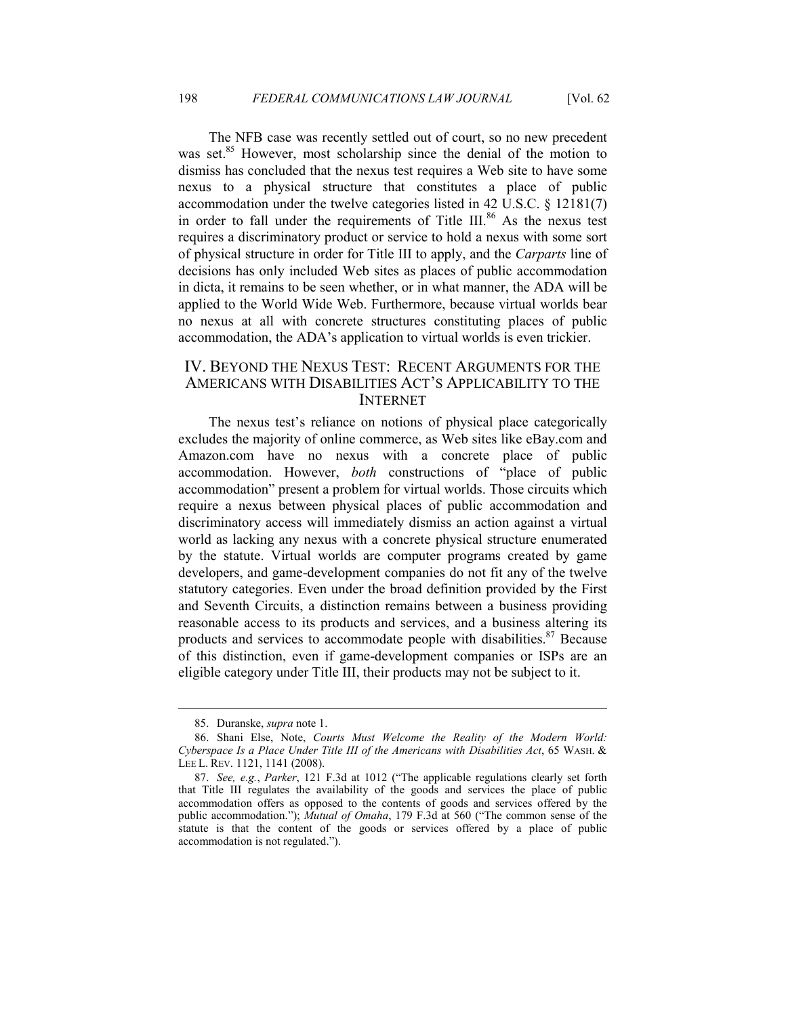The NFB case was recently settled out of court, so no new precedent was set.<sup>85</sup> However, most scholarship since the denial of the motion to dismiss has concluded that the nexus test requires a Web site to have some nexus to a physical structure that constitutes a place of public accommodation under the twelve categories listed in 42 U.S.C. § 12181(7) in order to fall under the requirements of Title III.<sup>86</sup> As the nexus test requires a discriminatory product or service to hold a nexus with some sort of physical structure in order for Title III to apply, and the *Carparts* line of decisions has only included Web sites as places of public accommodation in dicta, it remains to be seen whether, or in what manner, the ADA will be applied to the World Wide Web. Furthermore, because virtual worlds bear no nexus at all with concrete structures constituting places of public accommodation, the ADA's application to virtual worlds is even trickier.

## IV. BEYOND THE NEXUS TEST: RECENT ARGUMENTS FOR THE AMERICANS WITH DISABILITIES ACT'S APPLICABILITY TO THE INTERNET

The nexus test's reliance on notions of physical place categorically excludes the majority of online commerce, as Web sites like eBay.com and Amazon.com have no nexus with a concrete place of public accommodation. However, *both* constructions of "place of public accommodation" present a problem for virtual worlds. Those circuits which require a nexus between physical places of public accommodation and discriminatory access will immediately dismiss an action against a virtual world as lacking any nexus with a concrete physical structure enumerated by the statute. Virtual worlds are computer programs created by game developers, and game-development companies do not fit any of the twelve statutory categories. Even under the broad definition provided by the First and Seventh Circuits, a distinction remains between a business providing reasonable access to its products and services, and a business altering its products and services to accommodate people with disabilities.<sup>87</sup> Because of this distinction, even if game-development companies or ISPs are an eligible category under Title III, their products may not be subject to it.

 <sup>85.</sup> Duranske, *supra* note 1.

 <sup>86.</sup> Shani Else, Note, *Courts Must Welcome the Reality of the Modern World: Cyberspace Is a Place Under Title III of the Americans with Disabilities Act*, 65 WASH. & LEE L. REV. 1121, 1141 (2008).

 <sup>87.</sup> *See, e.g.*, *Parker*, 121 F.3d at 1012 ("The applicable regulations clearly set forth that Title III regulates the availability of the goods and services the place of public accommodation offers as opposed to the contents of goods and services offered by the public accommodation."); *Mutual of Omaha*, 179 F.3d at 560 ("The common sense of the statute is that the content of the goods or services offered by a place of public accommodation is not regulated.").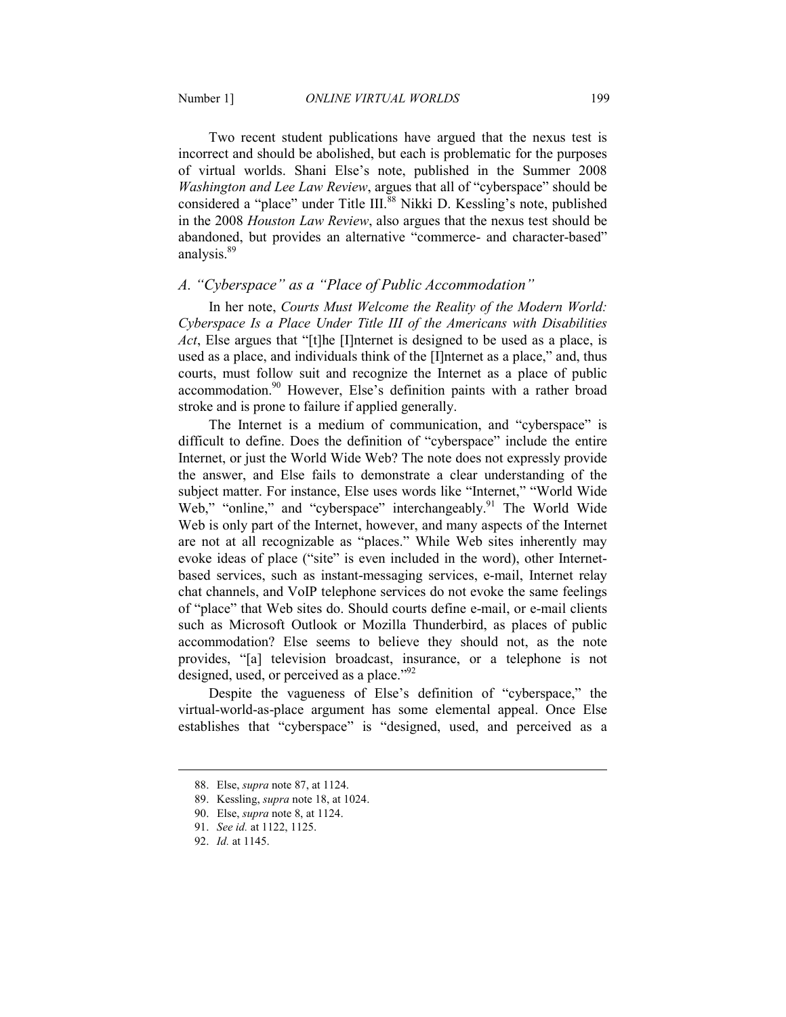Two recent student publications have argued that the nexus test is incorrect and should be abolished, but each is problematic for the purposes of virtual worlds. Shani Else's note, published in the Summer 2008 *Washington and Lee Law Review*, argues that all of "cyberspace" should be considered a "place" under Title III.<sup>88</sup> Nikki D. Kessling's note, published in the 2008 *Houston Law Review*, also argues that the nexus test should be abandoned, but provides an alternative "commerce- and character-based" analysis.<sup>89</sup>

### *A. "Cyberspace" as a "Place of Public Accommodation"*

In her note, *Courts Must Welcome the Reality of the Modern World: Cyberspace Is a Place Under Title III of the Americans with Disabilities Act*, Else argues that "[t]he [I]nternet is designed to be used as a place, is used as a place, and individuals think of the [I]nternet as a place," and, thus courts, must follow suit and recognize the Internet as a place of public accommodation.<sup>90</sup> However, Else's definition paints with a rather broad stroke and is prone to failure if applied generally.

The Internet is a medium of communication, and "cyberspace" is difficult to define. Does the definition of "cyberspace" include the entire Internet, or just the World Wide Web? The note does not expressly provide the answer, and Else fails to demonstrate a clear understanding of the subject matter. For instance, Else uses words like "Internet," "World Wide Web," "online," and "cyberspace" interchangeably.<sup>91</sup> The World Wide Web is only part of the Internet, however, and many aspects of the Internet are not at all recognizable as "places." While Web sites inherently may evoke ideas of place ("site" is even included in the word), other Internetbased services, such as instant-messaging services, e-mail, Internet relay chat channels, and VoIP telephone services do not evoke the same feelings of "place" that Web sites do. Should courts define e-mail, or e-mail clients such as Microsoft Outlook or Mozilla Thunderbird, as places of public accommodation? Else seems to believe they should not, as the note provides, "[a] television broadcast, insurance, or a telephone is not designed, used, or perceived as a place." $^{92}$ 

Despite the vagueness of Else's definition of "cyberspace," the virtual-world-as-place argument has some elemental appeal. Once Else establishes that "cyberspace" is "designed, used, and perceived as a

 <sup>88.</sup> Else, *supra* note 87, at 1124.

 <sup>89.</sup> Kessling, *supra* note 18, at 1024.

 <sup>90.</sup> Else, *supra* note 8, at 1124.

 <sup>91.</sup> *See id.* at 1122, 1125.

 <sup>92.</sup> *Id.* at 1145.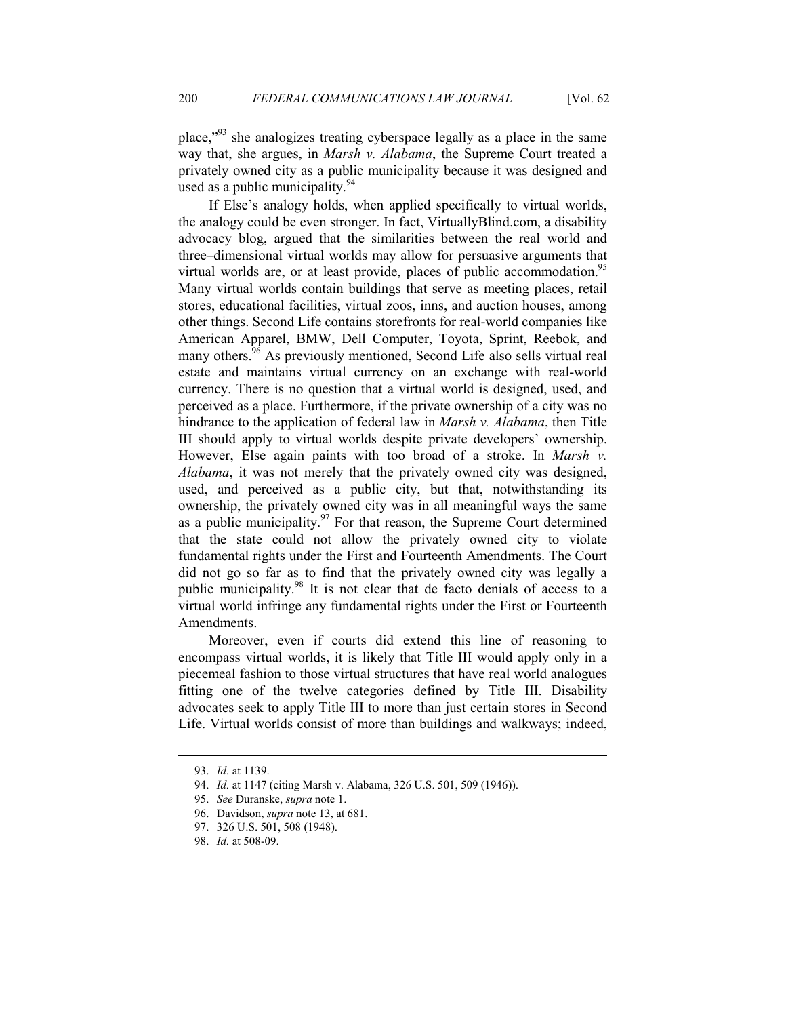place,"<sup>93</sup> she analogizes treating cyberspace legally as a place in the same way that, she argues, in *Marsh v. Alabama*, the Supreme Court treated a privately owned city as a public municipality because it was designed and used as a public municipality.<sup>94</sup>

If Else's analogy holds, when applied specifically to virtual worlds, the analogy could be even stronger. In fact, VirtuallyBlind.com, a disability advocacy blog, argued that the similarities between the real world and three–dimensional virtual worlds may allow for persuasive arguments that virtual worlds are, or at least provide, places of public accommodation.<sup>95</sup> Many virtual worlds contain buildings that serve as meeting places, retail stores, educational facilities, virtual zoos, inns, and auction houses, among other things. Second Life contains storefronts for real-world companies like American Apparel, BMW, Dell Computer, Toyota, Sprint, Reebok, and many others.<sup>96</sup> As previously mentioned, Second Life also sells virtual real estate and maintains virtual currency on an exchange with real-world currency. There is no question that a virtual world is designed, used, and perceived as a place. Furthermore, if the private ownership of a city was no hindrance to the application of federal law in *Marsh v. Alabama*, then Title III should apply to virtual worlds despite private developers' ownership. However, Else again paints with too broad of a stroke. In *Marsh v. Alabama*, it was not merely that the privately owned city was designed, used, and perceived as a public city, but that, notwithstanding its ownership, the privately owned city was in all meaningful ways the same as a public municipality. $97$  For that reason, the Supreme Court determined that the state could not allow the privately owned city to violate fundamental rights under the First and Fourteenth Amendments. The Court did not go so far as to find that the privately owned city was legally a public municipality.<sup>98</sup> It is not clear that de facto denials of access to a virtual world infringe any fundamental rights under the First or Fourteenth Amendments.

Moreover, even if courts did extend this line of reasoning to encompass virtual worlds, it is likely that Title III would apply only in a piecemeal fashion to those virtual structures that have real world analogues fitting one of the twelve categories defined by Title III. Disability advocates seek to apply Title III to more than just certain stores in Second Life. Virtual worlds consist of more than buildings and walkways; indeed,

-

 <sup>93.</sup> *Id.* at 1139.

 <sup>94.</sup> *Id.* at 1147 (citing Marsh v. Alabama, 326 U.S. 501, 509 (1946)).

 <sup>95.</sup> *See* Duranske, *supra* note 1.

 <sup>96.</sup> Davidson, *supra* note 13, at 681.

 <sup>97. 326</sup> U.S. 501, 508 (1948).

 <sup>98.</sup> *Id.* at 508-09.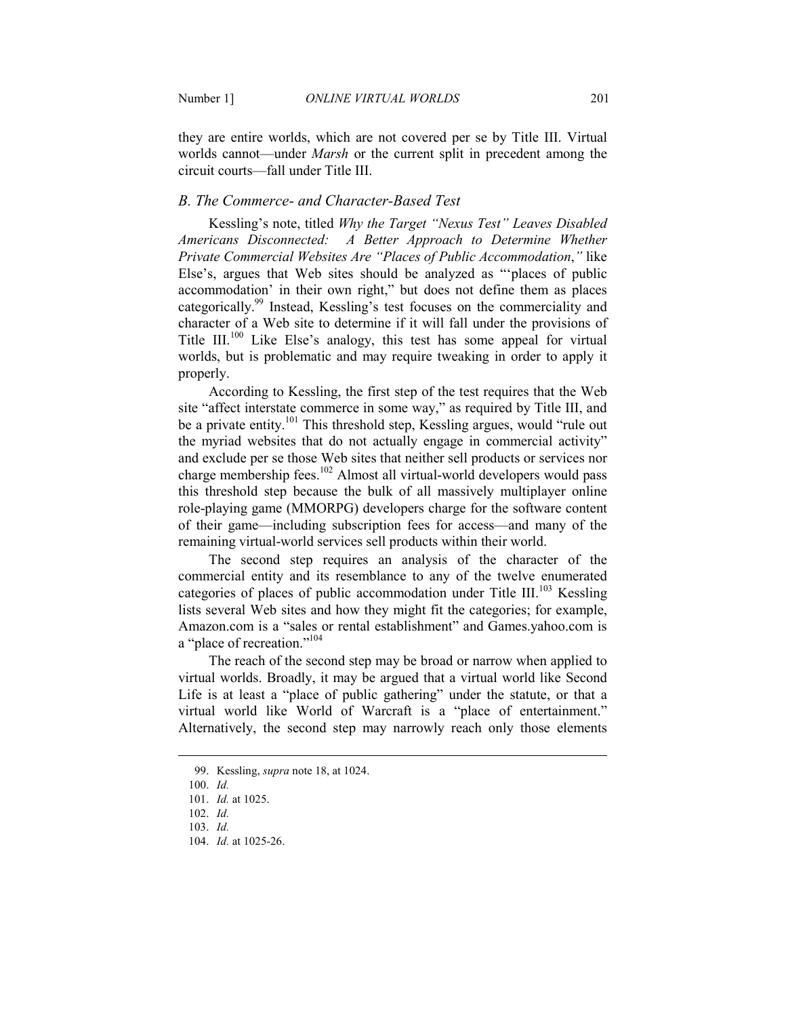they are entire worlds, which are not covered per se by Title III. Virtual worlds cannot—under *Marsh* or the current split in precedent among the circuit courts—fall under Title III.

## *B. The Commerce- and Character-Based Test*

Kessling's note, titled *Why the Target "Nexus Test" Leaves Disabled Americans Disconnected: A Better Approach to Determine Whether Private Commercial Websites Are "Places of Public Accommodation*,*"* like Else's, argues that Web sites should be analyzed as "'places of public accommodation' in their own right," but does not define them as places categorically.<sup>99</sup> Instead, Kessling's test focuses on the commerciality and character of a Web site to determine if it will fall under the provisions of Title III.<sup>100</sup> Like Else's analogy, this test has some appeal for virtual worlds, but is problematic and may require tweaking in order to apply it properly.

According to Kessling, the first step of the test requires that the Web site "affect interstate commerce in some way," as required by Title III, and be a private entity.<sup>101</sup> This threshold step, Kessling argues, would "rule out the myriad websites that do not actually engage in commercial activity" and exclude per se those Web sites that neither sell products or services nor charge membership fees.<sup>102</sup> Almost all virtual-world developers would pass this threshold step because the bulk of all massively multiplayer online role-playing game (MMORPG) developers charge for the software content of their game—including subscription fees for access—and many of the remaining virtual-world services sell products within their world.

The second step requires an analysis of the character of the commercial entity and its resemblance to any of the twelve enumerated categories of places of public accommodation under Title III.<sup>103</sup> Kessling lists several Web sites and how they might fit the categories; for example, Amazon.com is a "sales or rental establishment" and Games.yahoo.com is a "place of recreation."<sup>104</sup>

The reach of the second step may be broad or narrow when applied to virtual worlds. Broadly, it may be argued that a virtual world like Second Life is at least a "place of public gathering" under the statute, or that a virtual world like World of Warcraft is a "place of entertainment." Alternatively, the second step may narrowly reach only those elements

-

 <sup>99.</sup> Kessling, *supra* note 18, at 1024.

 <sup>100.</sup> *Id.*

 <sup>101.</sup> *Id.* at 1025.

 <sup>102.</sup> *Id.*

 <sup>103.</sup> *Id.*

 <sup>104.</sup> *Id.* at 1025-26.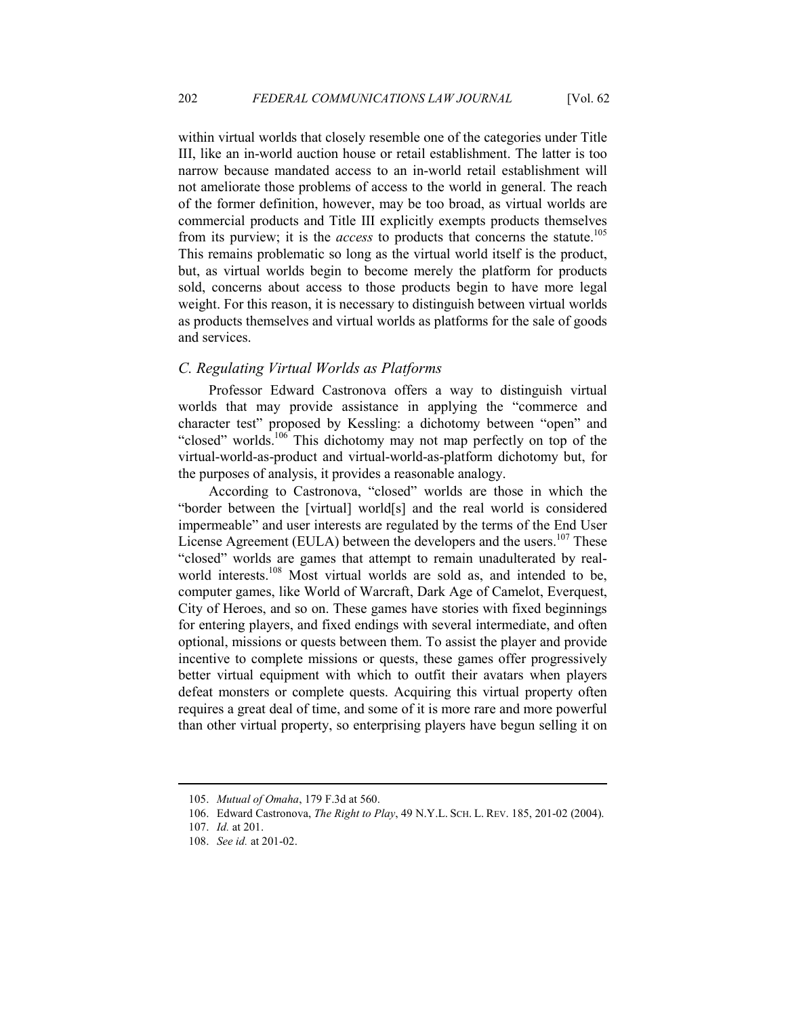within virtual worlds that closely resemble one of the categories under Title III, like an in-world auction house or retail establishment. The latter is too narrow because mandated access to an in-world retail establishment will not ameliorate those problems of access to the world in general. The reach of the former definition, however, may be too broad, as virtual worlds are commercial products and Title III explicitly exempts products themselves from its purview; it is the *access* to products that concerns the statute.<sup>105</sup> This remains problematic so long as the virtual world itself is the product, but, as virtual worlds begin to become merely the platform for products sold, concerns about access to those products begin to have more legal weight. For this reason, it is necessary to distinguish between virtual worlds as products themselves and virtual worlds as platforms for the sale of goods and services.

## *C. Regulating Virtual Worlds as Platforms*

Professor Edward Castronova offers a way to distinguish virtual worlds that may provide assistance in applying the "commerce and character test" proposed by Kessling: a dichotomy between "open" and "closed" worlds.<sup>106</sup> This dichotomy may not map perfectly on top of the virtual-world-as-product and virtual-world-as-platform dichotomy but, for the purposes of analysis, it provides a reasonable analogy.

According to Castronova, "closed" worlds are those in which the "border between the [virtual] world[s] and the real world is considered impermeable" and user interests are regulated by the terms of the End User License Agreement (EULA) between the developers and the users.<sup>107</sup> These "closed" worlds are games that attempt to remain unadulterated by realworld interests.<sup>108</sup> Most virtual worlds are sold as, and intended to be, computer games, like World of Warcraft, Dark Age of Camelot, Everquest, City of Heroes, and so on. These games have stories with fixed beginnings for entering players, and fixed endings with several intermediate, and often optional, missions or quests between them. To assist the player and provide incentive to complete missions or quests, these games offer progressively better virtual equipment with which to outfit their avatars when players defeat monsters or complete quests. Acquiring this virtual property often requires a great deal of time, and some of it is more rare and more powerful than other virtual property, so enterprising players have begun selling it on

<sup>105.</sup> *Mutual of Omaha*, 179 F.3d at 560.

 <sup>106.</sup> Edward Castronova, *The Right to Play*, 49 N.Y.L. SCH. L. REV. 185, 201-02 (2004).

 <sup>107.</sup> *Id.* at 201.

 <sup>108.</sup> *See id.* at 201-02.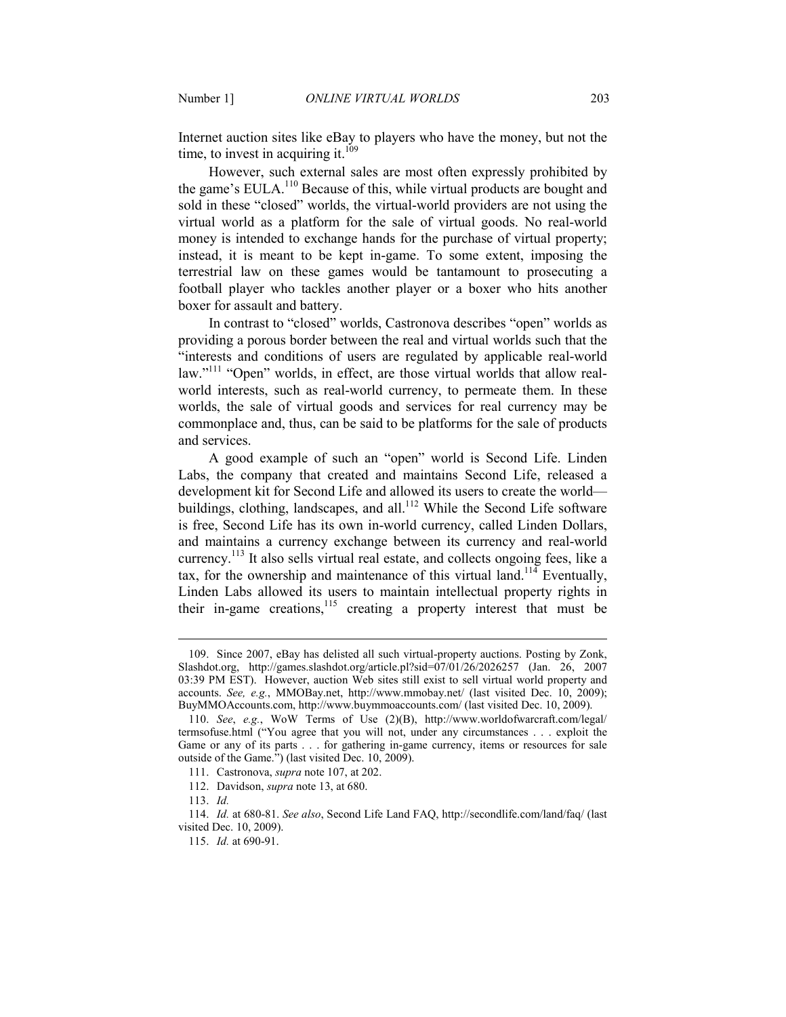Internet auction sites like eBay to players who have the money, but not the time, to invest in acquiring it. $109$ 

However, such external sales are most often expressly prohibited by the game's EULA.<sup>110</sup> Because of this, while virtual products are bought and sold in these "closed" worlds, the virtual-world providers are not using the virtual world as a platform for the sale of virtual goods. No real-world money is intended to exchange hands for the purchase of virtual property; instead, it is meant to be kept in-game. To some extent, imposing the terrestrial law on these games would be tantamount to prosecuting a football player who tackles another player or a boxer who hits another boxer for assault and battery.

In contrast to "closed" worlds, Castronova describes "open" worlds as providing a porous border between the real and virtual worlds such that the "interests and conditions of users are regulated by applicable real-world law."<sup>111</sup> "Open" worlds, in effect, are those virtual worlds that allow realworld interests, such as real-world currency, to permeate them. In these worlds, the sale of virtual goods and services for real currency may be commonplace and, thus, can be said to be platforms for the sale of products and services.

A good example of such an "open" world is Second Life. Linden Labs, the company that created and maintains Second Life, released a development kit for Second Life and allowed its users to create the world buildings, clothing, landscapes, and all.<sup>112</sup> While the Second Life software is free, Second Life has its own in-world currency, called Linden Dollars, and maintains a currency exchange between its currency and real-world currency.<sup>113</sup> It also sells virtual real estate, and collects ongoing fees, like a tax, for the ownership and maintenance of this virtual land.<sup>114</sup> Eventually, Linden Labs allowed its users to maintain intellectual property rights in their in-game creations, $115$  creating a property interest that must be

 <sup>109.</sup> Since 2007, eBay has delisted all such virtual-property auctions. Posting by Zonk, Slashdot.org, http://games.slashdot.org/article.pl?sid=07/01/26/2026257 (Jan. 26, 2007 03:39 PM EST). However, auction Web sites still exist to sell virtual world property and accounts. *See, e.g.*, MMOBay.net, http://www.mmobay.net/ (last visited Dec. 10, 2009); BuyMMOAccounts.com, http://www.buymmoaccounts.com/ (last visited Dec. 10, 2009).

 <sup>110.</sup> *See*, *e.g.*, WoW Terms of Use (2)(B), http://www.worldofwarcraft.com/legal/ termsofuse.html ("You agree that you will not, under any circumstances . . . exploit the Game or any of its parts . . . for gathering in-game currency, items or resources for sale outside of the Game.") (last visited Dec. 10, 2009).

 <sup>111.</sup> Castronova, *supra* note 107, at 202.

 <sup>112.</sup> Davidson, *supra* note 13, at 680.

 <sup>113.</sup> *Id.*

 <sup>114.</sup> *Id.* at 680-81. *See also*, Second Life Land FAQ, http://secondlife.com/land/faq/ (last visited Dec. 10, 2009).

 <sup>115.</sup> *Id.* at 690-91.